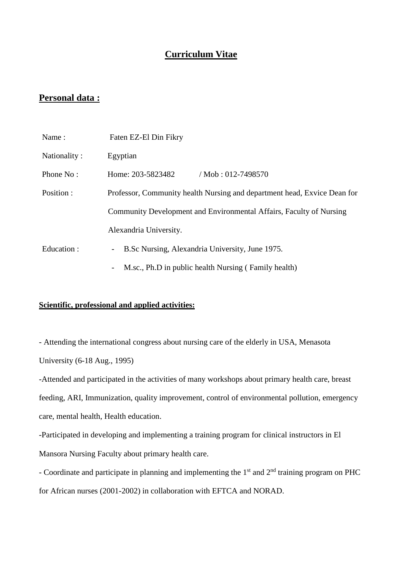## **Curriculum Vitae**

## **Personal data :**

| Name:        | Faten EZ-El Din Fikry                                                    |  |  |
|--------------|--------------------------------------------------------------------------|--|--|
| Nationality: | Egyptian                                                                 |  |  |
| Phone No:    | Home: 203-5823482<br>$/Mob: 012-7498570$                                 |  |  |
| Position :   | Professor, Community health Nursing and department head, Exvice Dean for |  |  |
|              | Community Development and Environmental Affairs, Faculty of Nursing      |  |  |
|              | Alexandria University.                                                   |  |  |
| Education:   | B.Sc Nursing, Alexandria University, June 1975.<br>$ \,$                 |  |  |
|              | M.sc., Ph.D in public health Nursing (Family health)                     |  |  |

#### **Scientific, professional and applied activities:**

- Attending the international congress about nursing care of the elderly in USA, Menasota University (6-18 Aug., 1995)

-Attended and participated in the activities of many workshops about primary health care, breast feeding, ARI, Immunization, quality improvement, control of environmental pollution, emergency care, mental health, Health education.

-Participated in developing and implementing a training program for clinical instructors in El Mansora Nursing Faculty about primary health care.

- Coordinate and participate in planning and implementing the  $1<sup>st</sup>$  and  $2<sup>nd</sup>$  training program on PHC for African nurses (2001-2002) in collaboration with EFTCA and NORAD.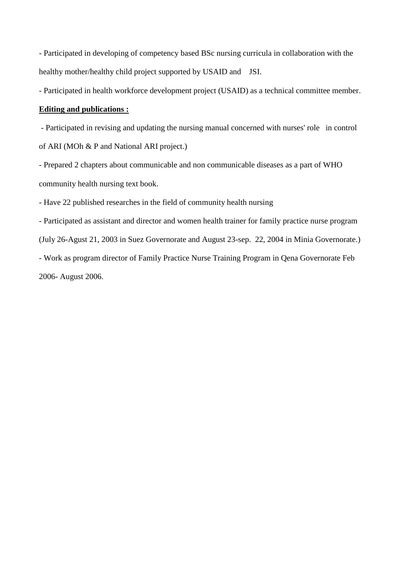- Participated in developing of competency based BSc nursing curricula in collaboration with the healthy mother/healthy child project supported by USAID and JSI.

- Participated in health workforce development project (USAID) as a technical committee member.

### **Editing and publications :**

- Participated in revising and updating the nursing manual concerned with nurses' role in control of ARI (MOh & P and National ARI project.)

- Prepared 2 chapters about communicable and non communicable diseases as a part of WHO community health nursing text book.

- Have 22 published researches in the field of community health nursing

- Participated as assistant and director and women health trainer for family practice nurse program (July 26-Agust 21, 2003 in Suez Governorate and August 23-sep. 22, 2004 in Minia Governorate.) - Work as program director of Family Practice Nurse Training Program in Qena Governorate Feb 2006- August 2006.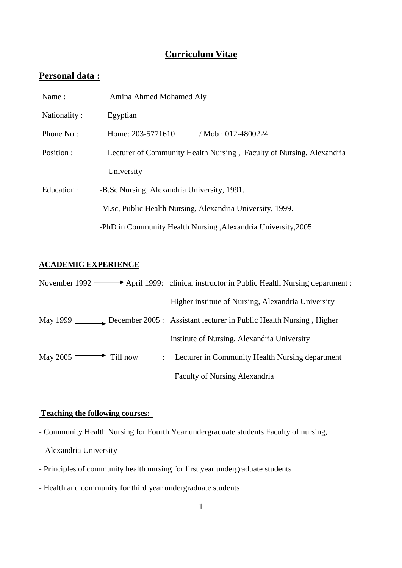# **Curriculum Vitae**

# **Personal data :**

| Name:        | Amina Ahmed Mohamed Aly                                              |  |
|--------------|----------------------------------------------------------------------|--|
| Nationality: | Egyptian                                                             |  |
| Phone No:    | / Mob: $012-4800224$<br>Home: 203-5771610                            |  |
| Position:    | Lecturer of Community Health Nursing, Faculty of Nursing, Alexandria |  |
|              | University                                                           |  |
| Education:   | -B.Sc Nursing, Alexandria University, 1991.                          |  |
|              | -M.sc, Public Health Nursing, Alexandria University, 1999.           |  |
|              | -PhD in Community Health Nursing, Alexandria University, 2005        |  |

## **ACADEMIC EXPERIENCE**

|                                     | November 1992 $\longrightarrow$ April 1999: clinical instructor in Public Health Nursing department : |
|-------------------------------------|-------------------------------------------------------------------------------------------------------|
|                                     | Higher institute of Nursing, Alexandria University                                                    |
|                                     |                                                                                                       |
|                                     | institute of Nursing, Alexandria University                                                           |
| May 2005 $\longrightarrow$ Till now | : Lecturer in Community Health Nursing department                                                     |
|                                     | <b>Faculty of Nursing Alexandria</b>                                                                  |

# **Teaching the following courses:-**

- Community Health Nursing for Fourth Year undergraduate students Faculty of nursing,

- Alexandria University
- Principles of community health nursing for first year undergraduate students
- Health and community for third year undergraduate students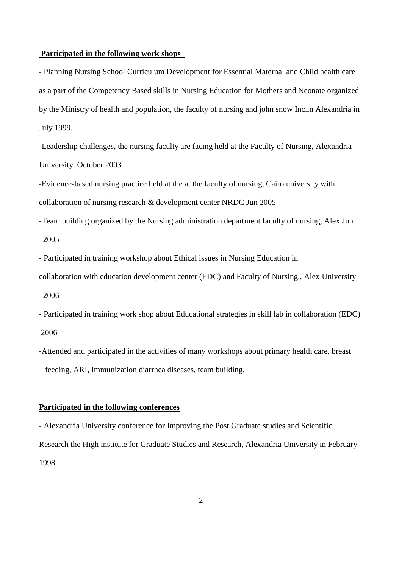#### **Participated in the following work shops**

- Planning Nursing School Curriculum Development for Essential Maternal and Child health care as a part of the Competency Based skills in Nursing Education for Mothers and Neonate organized by the Ministry of health and population, the faculty of nursing and john snow Inc.in Alexandria in July 1999.

-Leadership challenges, the nursing faculty are facing held at the Faculty of Nursing, Alexandria University. October 2003

-Evidence-based nursing practice held at the at the faculty of nursing, Cairo university with collaboration of nursing research & development center NRDC Jun 2005

-Team building organized by the Nursing administration department faculty of nursing, Alex Jun 2005

- Participated in training workshop about Ethical issues in Nursing Education in

collaboration with education development center (EDC) and Faculty of Nursing,, Alex University 2006

- Participated in training work shop about Educational strategies in skill lab in collaboration (EDC) 2006

-Attended and participated in the activities of many workshops about primary health care, breast feeding, ARI, Immunization diarrhea diseases, team building.

#### **Participated in the following conferences**

- Alexandria University conference for Improving the Post Graduate studies and Scientific Research the High institute for Graduate Studies and Research, Alexandria University in February 1998.

 $-2$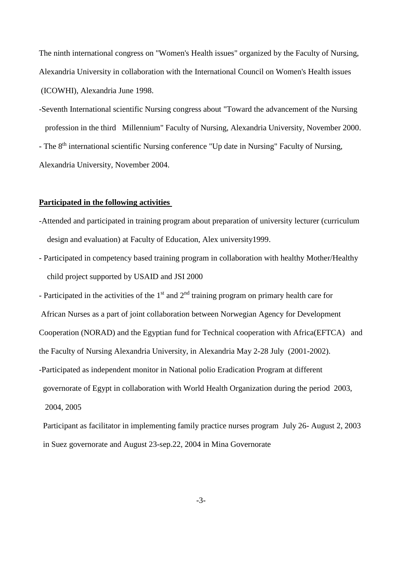The ninth international congress on "Women's Health issues" organized by the Faculty of Nursing, Alexandria University in collaboration with the International Council on Women's Health issues (ICOWHI), Alexandria June 1998.

-Seventh International scientific Nursing congress about "Toward the advancement of the Nursing profession in the third Millennium" Faculty of Nursing, Alexandria University, November 2000. - The 8<sup>th</sup> international scientific Nursing conference "Up date in Nursing" Faculty of Nursing, Alexandria University, November 2004.

#### **Participated in the following activities**

- -Attended and participated in training program about preparation of university lecturer (curriculum design and evaluation) at Faculty of Education, Alex university1999.
- Participated in competency based training program in collaboration with healthy Mother/Healthy child project supported by USAID and JSI 2000

- Participated in the activities of the  $1<sup>st</sup>$  and  $2<sup>nd</sup>$  training program on primary health care for African Nurses as a part of joint collaboration between Norwegian Agency for Development Cooperation (NORAD) and the Egyptian fund for Technical cooperation with Africa(EFTCA) and the Faculty of Nursing Alexandria University, in Alexandria May 2-28 July (2001-2002). -Participated as independent monitor in National polio Eradication Program at different governorate of Egypt in collaboration with World Health Organization during the period 2003, 2004, 2005

 Participant as facilitator in implementing family practice nurses program July 26- August 2, 2003 in Suez governorate and August 23-sep.22, 2004 in Mina Governorate